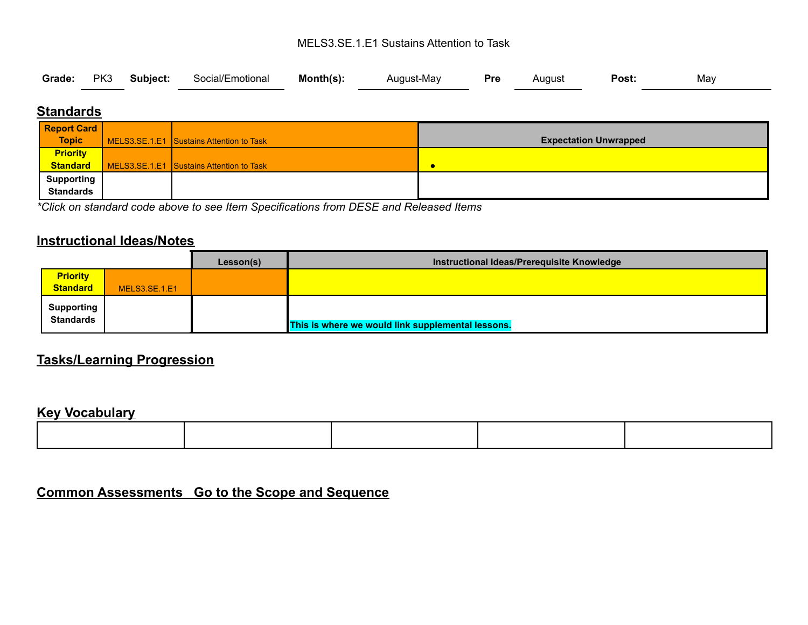#### MELS3.SE.1.E1 Sustains Attention to Task

|  |  |  | Grade: PK3 Subject: Social/Emotional Month(s): |  | August-May <b>Pre</b> August |  |  | <b>Post:</b> | May |  |
|--|--|--|------------------------------------------------|--|------------------------------|--|--|--------------|-----|--|
|--|--|--|------------------------------------------------|--|------------------------------|--|--|--------------|-----|--|

## **Standards**

| <b>Report Card</b> |                                          |                              |
|--------------------|------------------------------------------|------------------------------|
| Topic              | MELS3.SE.1.E1 Sustains Attention to Task | <b>Expectation Unwrapped</b> |
| <b>Priority</b>    |                                          |                              |
| <b>Standard</b>    | MELS3.SE.1.E1 Sustains Attention to Task | C                            |
| <b>Supporting</b>  |                                          |                              |
| <b>Standards</b>   |                                          |                              |

*\*Click on standard code above to see Item Specifications from DESE and Released Items*

## **Instructional Ideas/Notes**

|                                |               | Lesson(s) | Instructional Ideas/Prerequisite Knowledge        |
|--------------------------------|---------------|-----------|---------------------------------------------------|
| <b>Priority</b>                |               |           |                                                   |
| <b>Standard</b>                | MELS3.SE.1.E1 |           |                                                   |
| Supporting<br><b>Standards</b> |               |           | This is where we would link supplemental lessons. |

# **Tasks/Learning Progression**

## **Key Vocabulary**

**Common Assessments Go to the Scope and Sequence**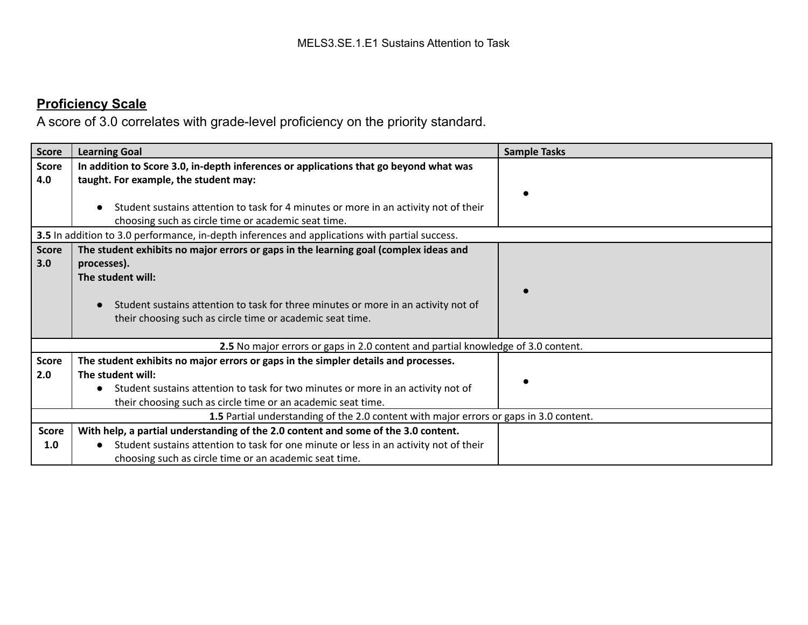# **Proficiency Scale**

A score of 3.0 correlates with grade-level proficiency on the priority standard.

| <b>Score</b>        | <b>Learning Goal</b>                                                                                                                                                                                                                                                          | <b>Sample Tasks</b> |
|---------------------|-------------------------------------------------------------------------------------------------------------------------------------------------------------------------------------------------------------------------------------------------------------------------------|---------------------|
| <b>Score</b><br>4.0 | In addition to Score 3.0, in-depth inferences or applications that go beyond what was<br>taught. For example, the student may:<br>Student sustains attention to task for 4 minutes or more in an activity not of their<br>choosing such as circle time or academic seat time. |                     |
|                     | 3.5 In addition to 3.0 performance, in-depth inferences and applications with partial success.                                                                                                                                                                                |                     |
| <b>Score</b><br>3.0 | The student exhibits no major errors or gaps in the learning goal (complex ideas and<br>processes).<br>The student will:<br>Student sustains attention to task for three minutes or more in an activity not of<br>their choosing such as circle time or academic seat time.   |                     |
|                     | 2.5 No major errors or gaps in 2.0 content and partial knowledge of 3.0 content.                                                                                                                                                                                              |                     |
| <b>Score</b><br>2.0 | The student exhibits no major errors or gaps in the simpler details and processes.<br>The student will:<br>Student sustains attention to task for two minutes or more in an activity not of<br>their choosing such as circle time or an academic seat time.                   |                     |
|                     | 1.5 Partial understanding of the 2.0 content with major errors or gaps in 3.0 content.                                                                                                                                                                                        |                     |
| <b>Score</b><br>1.0 | With help, a partial understanding of the 2.0 content and some of the 3.0 content.<br>Student sustains attention to task for one minute or less in an activity not of their<br>choosing such as circle time or an academic seat time.                                         |                     |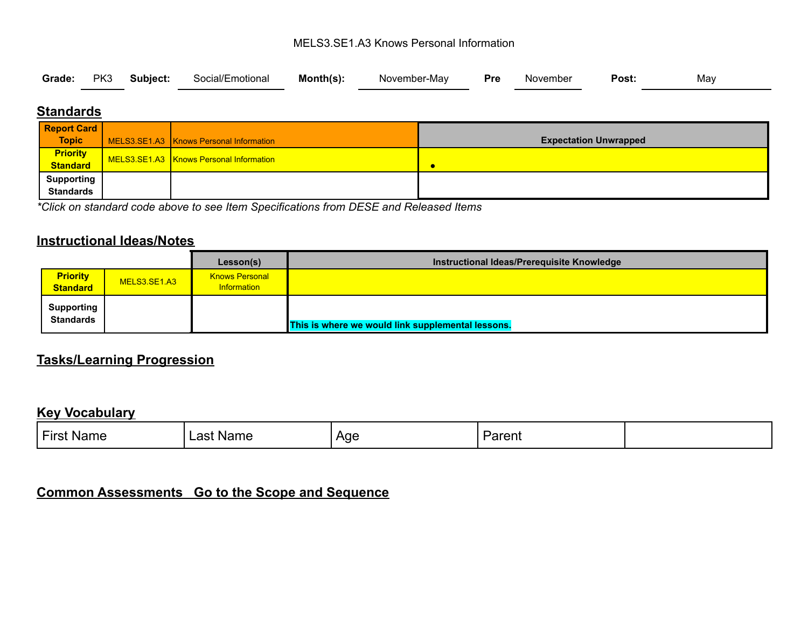#### MELS3.SE1.A3 Knows Personal Information

|  |  |  | Grade: PK3 Subject: Social/Emotional Month(s): |  | November-May <b>Pre</b> November |  |  | Post: | Mav |  |
|--|--|--|------------------------------------------------|--|----------------------------------|--|--|-------|-----|--|
|--|--|--|------------------------------------------------|--|----------------------------------|--|--|-------|-----|--|

## **Standards**

| <b>Report Card</b>          |                                         |                              |
|-----------------------------|-----------------------------------------|------------------------------|
| <b>Topic</b>                | MELS3.SE1.A3 Knows Personal Information | <b>Expectation Unwrapped</b> |
| <b>Priority</b><br>Standard | MELS3.SE1.A3 Knows Personal Information |                              |
|                             |                                         |                              |
| <b>Supporting</b>           |                                         |                              |
| <b>Standards</b>            |                                         |                              |

*\*Click on standard code above to see Item Specifications from DESE and Released Items*

## **Instructional Ideas/Notes**

|                                       |              | Lesson(s)                            | Instructional Ideas/Prerequisite Knowledge        |
|---------------------------------------|--------------|--------------------------------------|---------------------------------------------------|
| <b>Priority</b><br><b>Standard</b>    | MELS3.SE1.A3 | <b>Knows Personal</b><br>Information |                                                   |
| <b>Supporting</b><br><b>Standards</b> |              |                                      | This is where we would link supplemental lessons. |

# **Tasks/Learning Progression**

#### **Key Vocabulary**

| $-1$<br>First<br><b>Name</b> | Name<br>net.<br>aəı | Age | $1 - r - r$<br>∙arent |  |
|------------------------------|---------------------|-----|-----------------------|--|
|                              |                     |     |                       |  |

# **Common Assessments Go to the Scope and Sequence**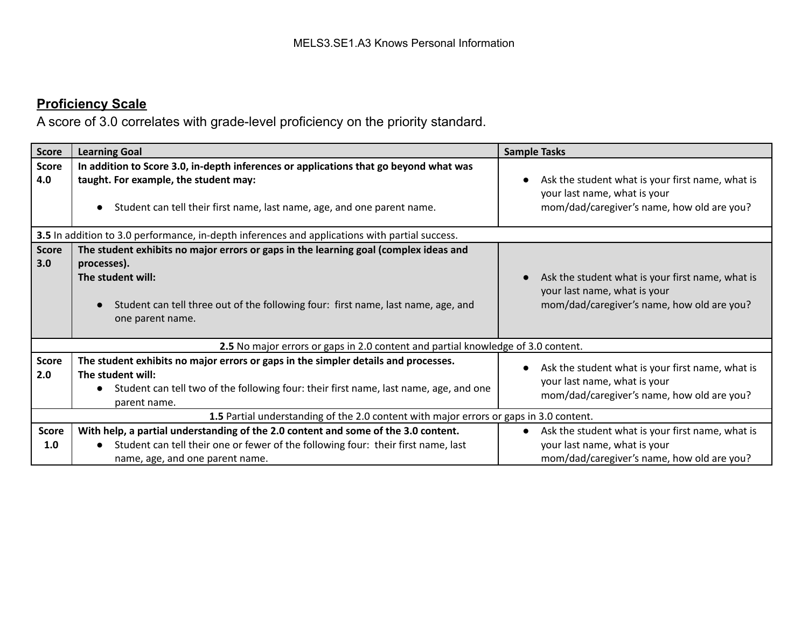# **Proficiency Scale**

A score of 3.0 correlates with grade-level proficiency on the priority standard.

| <b>Score</b>        | <b>Learning Goal</b>                                                                                                                                                                                                              | <b>Sample Tasks</b>                                                                                                            |
|---------------------|-----------------------------------------------------------------------------------------------------------------------------------------------------------------------------------------------------------------------------------|--------------------------------------------------------------------------------------------------------------------------------|
| <b>Score</b><br>4.0 | In addition to Score 3.0, in-depth inferences or applications that go beyond what was<br>taught. For example, the student may:<br>Student can tell their first name, last name, age, and one parent name.                         | Ask the student what is your first name, what is<br>your last name, what is your<br>mom/dad/caregiver's name, how old are you? |
|                     | 3.5 In addition to 3.0 performance, in-depth inferences and applications with partial success.                                                                                                                                    |                                                                                                                                |
| <b>Score</b><br>3.0 | The student exhibits no major errors or gaps in the learning goal (complex ideas and<br>processes).<br>The student will:<br>Student can tell three out of the following four: first name, last name, age, and<br>one parent name. | Ask the student what is your first name, what is<br>your last name, what is your<br>mom/dad/caregiver's name, how old are you? |
|                     | 2.5 No major errors or gaps in 2.0 content and partial knowledge of 3.0 content.                                                                                                                                                  |                                                                                                                                |
| <b>Score</b><br>2.0 | The student exhibits no major errors or gaps in the simpler details and processes.<br>The student will:<br>Student can tell two of the following four: their first name, last name, age, and one<br>parent name.                  | Ask the student what is your first name, what is<br>your last name, what is your<br>mom/dad/caregiver's name, how old are you? |
|                     | 1.5 Partial understanding of the 2.0 content with major errors or gaps in 3.0 content.                                                                                                                                            |                                                                                                                                |
| <b>Score</b><br>1.0 | With help, a partial understanding of the 2.0 content and some of the 3.0 content.<br>Student can tell their one or fewer of the following four: their first name, last<br>name, age, and one parent name.                        | Ask the student what is your first name, what is<br>your last name, what is your<br>mom/dad/caregiver's name, how old are you? |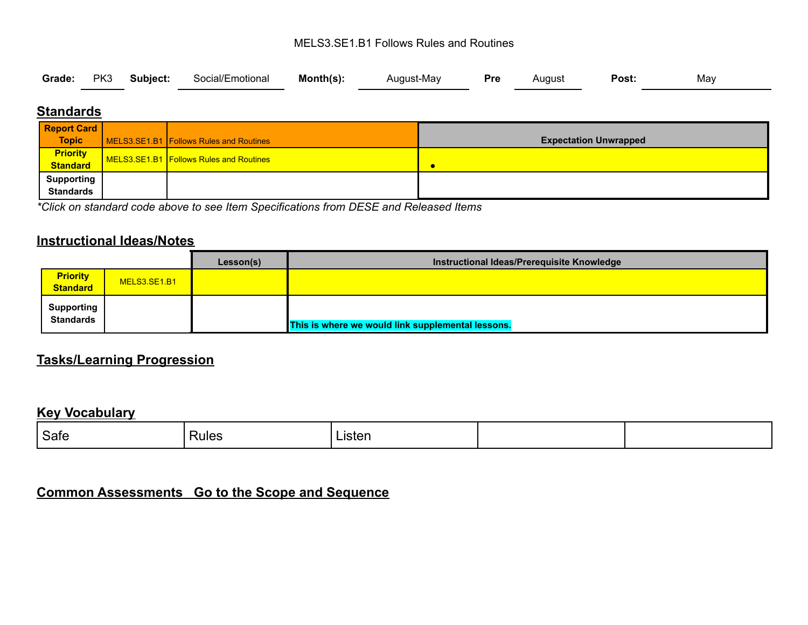#### MELS3.SE1.B1 Follows Rules and Routines

|  |  |  | Grade: PK3 Subject: Social/Emotional Month(s): |  | August-May <b>Pre</b> August |  |  | <b>Post:</b> | May |  |
|--|--|--|------------------------------------------------|--|------------------------------|--|--|--------------|-----|--|
|--|--|--|------------------------------------------------|--|------------------------------|--|--|--------------|-----|--|

## **Standards**

| <b>Report Card</b>          |                                         |                              |
|-----------------------------|-----------------------------------------|------------------------------|
| <b>Topic</b>                | MELS3.SE1.B1 Follows Rules and Routines | <b>Expectation Unwrapped</b> |
| <b>Priority</b><br>Standard | MELS3.SE1.B1 Follows Rules and Routines |                              |
|                             |                                         |                              |
| <b>Supporting</b>           |                                         |                              |
| <b>Standards</b>            |                                         |                              |

*\*Click on standard code above to see Item Specifications from DESE and Released Items*

## **Instructional Ideas/Notes**

|                                |              | Lesson(s) | Instructional Ideas/Prerequisite Knowledge        |  |
|--------------------------------|--------------|-----------|---------------------------------------------------|--|
| <b>Priority</b><br>Standard    | MELS3.SE1.B1 |           |                                                   |  |
| <b>Supporting</b><br>Standards |              |           | This is where we would link supplemental lessons. |  |

# **Tasks/Learning Progression**

#### **Key Vocabulary**

| Safe | <b>Rules</b> | inton<br><b>LIPICII</b> |  |
|------|--------------|-------------------------|--|
|      |              |                         |  |

# **Common Assessments Go to the Scope and Sequence**